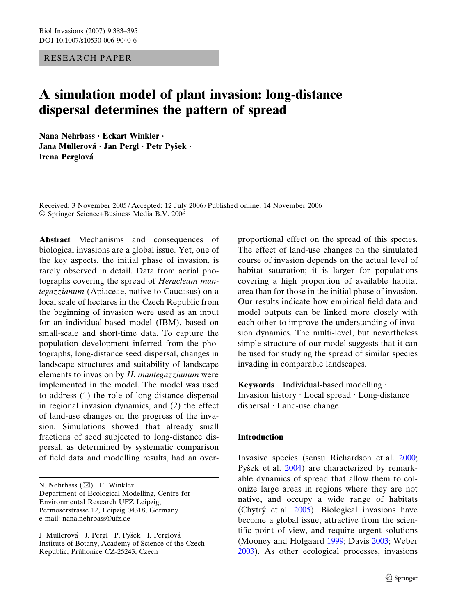RESEARCH PAPER

# A simulation model of plant invasion: long-distance dispersal determines the pattern of spread

Nana Nehrbass · Eckart Winkler · Jana Müllerová · Jan Pergl · Petr Pyšek · Irena Perglová

Received: 3 November 2005 / Accepted: 12 July 2006 / Published online: 14 November 2006 Springer Science+Business Media B.V. 2006

Abstract Mechanisms and consequences of biological invasions are a global issue. Yet, one of the key aspects, the initial phase of invasion, is rarely observed in detail. Data from aerial photographs covering the spread of Heracleum mantegazzianum (Apiaceae, native to Caucasus) on a local scale of hectares in the Czech Republic from the beginning of invasion were used as an input for an individual-based model (IBM), based on small-scale and short-time data. To capture the population development inferred from the photographs, long-distance seed dispersal, changes in landscape structures and suitability of landscape elements to invasion by  $H$ . mantegazzianum were implemented in the model. The model was used to address (1) the role of long-distance dispersal in regional invasion dynamics, and (2) the effect of land-use changes on the progress of the invasion. Simulations showed that already small fractions of seed subjected to long-distance dispersal, as determined by systematic comparison of field data and modelling results, had an over-

N. Nehrbass  $(\boxtimes) \cdot$  E. Winkler Department of Ecological Modelling, Centre for Environmental Research UFZ Leipzig, Permoserstrasse 12, Leipzig 04318, Germany e-mail: nana.nehrbass@ufz.de

J. Müllerová · J. Pergl · P. Pyšek · I. Perglová Institute of Botany, Academy of Science of the Czech Republic, Průhonice CZ-25243, Czech

proportional effect on the spread of this species. The effect of land-use changes on the simulated course of invasion depends on the actual level of habitat saturation; it is larger for populations covering a high proportion of available habitat area than for those in the initial phase of invasion. Our results indicate how empirical field data and model outputs can be linked more closely with each other to improve the understanding of invasion dynamics. The multi-level, but nevertheless simple structure of our model suggests that it can be used for studying the spread of similar species invading in comparable landscapes.

**Keywords** Individual-based modelling  $\cdot$ Invasion history · Local spread · Long-distance dispersal · Land-use change

# **Introduction**

Invasive species (sensu Richardson et al. [2000;](#page-12-0) Pyšek et al. [2004](#page-12-0)) are characterized by remarkable dynamics of spread that allow them to colonize large areas in regions where they are not native, and occupy a wide range of habitats (Chytry´ et al. [2005](#page-11-0)). Biological invasions have become a global issue, attractive from the scientific point of view, and require urgent solutions (Mooney and Hofgaard [1999;](#page-12-0) Davis [2003](#page-11-0); Weber [2003\)](#page-12-0). As other ecological processes, invasions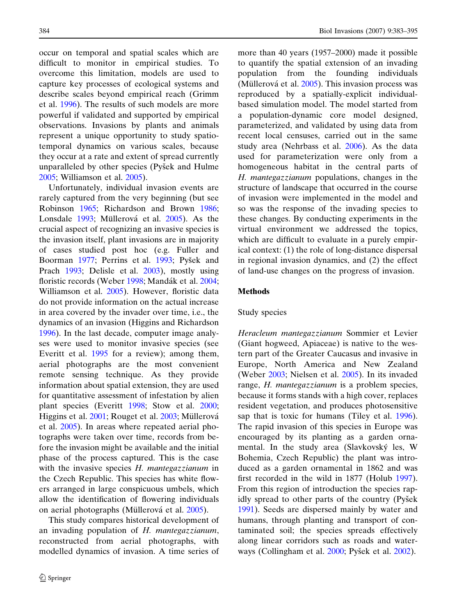occur on temporal and spatial scales which are difficult to monitor in empirical studies. To overcome this limitation, models are used to capture key processes of ecological systems and describe scales beyond empirical reach (Grimm et al. [1996\)](#page-11-0). The results of such models are more powerful if validated and supported by empirical observations. Invasions by plants and animals represent a unique opportunity to study spatiotemporal dynamics on various scales, because they occur at a rate and extent of spread currently unparalleled by other species (Pyšek and Hulme [2005;](#page-12-0) Williamson et al. [2005](#page-12-0)).

Unfortunately, individual invasion events are rarely captured from the very beginning (but see Robinson [1965](#page-12-0); Richardson and Brown [1986;](#page-12-0) Lonsdale [1993](#page-12-0); Müllerová et al. [2005\)](#page-12-0). As the crucial aspect of recognizing an invasive species is the invasion itself, plant invasions are in majority of cases studied post hoc (e.g. Fuller and Boorman [1977](#page-11-0); Perrins et al. [1993](#page-12-0); Pyšek and Prach [1993;](#page-12-0) Delisle et al. [2003\)](#page-11-0), mostly using floristic records (Weber [1998;](#page-12-0) Mandák et al. [2004;](#page-12-0) Williamson et al. [2005\)](#page-12-0). However, floristic data do not provide information on the actual increase in area covered by the invader over time, i.e., the dynamics of an invasion (Higgins and Richardson [1996\)](#page-11-0). In the last decade, computer image analyses were used to monitor invasive species (see Everitt et al. [1995](#page-11-0) for a review); among them, aerial photographs are the most convenient remote sensing technique. As they provide information about spatial extension, they are used for quantitative assessment of infestation by alien plant species (Everitt [1998;](#page-11-0) Stow et al. [2000;](#page-12-0) Higgins et al. [2001](#page-11-0); Rouget et al. [2003](#page-12-0); Müllerová et al. [2005](#page-12-0)). In areas where repeated aerial photographs were taken over time, records from before the invasion might be available and the initial phase of the process captured. This is the case with the invasive species H. mantegazzianum in the Czech Republic. This species has white flowers arranged in large conspicuous umbels, which allow the identification of flowering individuals on aerial photographs (Müllerová et al. [2005\)](#page-12-0).

This study compares historical development of an invading population of H. mantegazzianum, reconstructed from aerial photographs, with modelled dynamics of invasion. A time series of

more than 40 years (1957–2000) made it possible to quantify the spatial extension of an invading population from the founding individuals (Müllerová et al.  $2005$ ). This invasion process was reproduced by a spatially-explicit individualbased simulation model. The model started from a population-dynamic core model designed, parameterized, and validated by using data from recent local censuses, carried out in the same study area (Nehrbass et al. [2006\)](#page-12-0). As the data used for parameterization were only from a homogeneous habitat in the central parts of H. mantegazzianum populations, changes in the structure of landscape that occurred in the course of invasion were implemented in the model and so was the response of the invading species to these changes. By conducting experiments in the virtual environment we addressed the topics, which are difficult to evaluate in a purely empirical context: (1) the role of long-distance dispersal in regional invasion dynamics, and (2) the effect of land-use changes on the progress of invasion.

#### Methods

## Study species

Heracleum mantegazzianum Sommier et Levier (Giant hogweed, Apiaceae) is native to the western part of the Greater Caucasus and invasive in Europe, North America and New Zealand (Weber [2003;](#page-12-0) Nielsen et al. [2005\)](#page-12-0). In its invaded range, H. mantegazzianum is a problem species, because it forms stands with a high cover, replaces resident vegetation, and produces photosensitive sap that is toxic for humans (Tiley et al. [1996\)](#page-12-0). The rapid invasion of this species in Europe was encouraged by its planting as a garden ornamental. In the study area (Slavkovský les, W Bohemia, Czech Republic) the plant was introduced as a garden ornamental in 1862 and was first recorded in the wild in 1877 (Holub [1997\)](#page-11-0). From this region of introduction the species rapidly spread to other parts of the country (Pyšek [1991\)](#page-12-0). Seeds are dispersed mainly by water and humans, through planting and transport of contaminated soil; the species spreads effectively along linear corridors such as roads and water-ways (Collingham et al. [2000](#page-11-0); Pyšek et al. [2002\)](#page-12-0).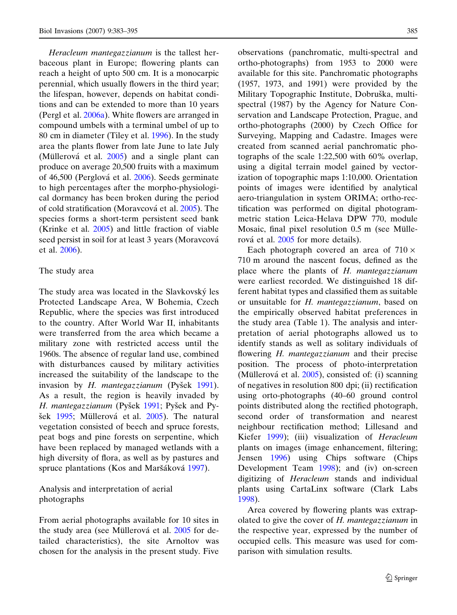Heracleum mantegazzianum is the tallest herbaceous plant in Europe; flowering plants can reach a height of upto 500 cm. It is a monocarpic perennial, which usually flowers in the third year; the lifespan, however, depends on habitat conditions and can be extended to more than 10 years (Pergl et al. [2006a](#page-12-0)). White flowers are arranged in compound umbels with a terminal umbel of up to 80 cm in diameter (Tiley et al. [1996](#page-12-0)). In the study area the plants flower from late June to late July (Müllerová et al.  $2005$ ) and a single plant can produce on average 20,500 fruits with a maximum of 46,500 (Perglová et al. [2006\)](#page-12-0). Seeds germinate to high percentages after the morpho-physiological dormancy has been broken during the period of cold stratification (Moravcová et al. [2005](#page-12-0)). The species forms a short-term persistent seed bank (Krinke et al. [2005\)](#page-11-0) and little fraction of viable seed persist in soil for at least 3 years (Moravcová et al. [2006](#page-12-0)).

#### The study area

The study area was located in the Slavkovský les Protected Landscape Area, W Bohemia, Czech Republic, where the species was first introduced to the country. After World War II, inhabitants were transferred from the area which became a military zone with restricted access until the 1960s. The absence of regular land use, combined with disturbances caused by military activities increased the suitability of the landscape to the invasion by  $H$ . mantegazzianum (Pyšek [1991\)](#page-12-0). As a result, the region is heavily invaded by H. mantegazzianum (Pyšek [1991;](#page-12-0) Pyšek and Py-šek [1995](#page-12-0); Müllerová et al. [2005](#page-12-0)). The natural vegetation consisted of beech and spruce forests, peat bogs and pine forests on serpentine, which have been replaced by managed wetlands with a high diversity of flora, as well as by pastures and spruce plantations (Kos and Maršáková [1997\)](#page-11-0).

# Analysis and interpretation of aerial photographs

From aerial photographs available for 10 sites in the study area (see Müllerová et al. [2005](#page-12-0) for detailed characteristics), the site Arnoltov was chosen for the analysis in the present study. Five observations (panchromatic, multi-spectral and ortho-photographs) from 1953 to 2000 were available for this site. Panchromatic photographs (1957, 1973, and 1991) were provided by the Military Topographic Institute, Dobruška, multispectral (1987) by the Agency for Nature Conservation and Landscape Protection, Prague, and ortho-photographs (2000) by Czech Office for Surveying, Mapping and Cadastre. Images were created from scanned aerial panchromatic photographs of the scale 1:22,500 with 60% overlap, using a digital terrain model gained by vectorization of topographic maps 1:10,000. Orientation points of images were identified by analytical aero-triangulation in system ORIMA; ortho-rectification was performed on digital photogrammetric station Leica-Helava DPW 770, module Mosaic, final pixel resolution  $0.5$  m (see Mülle-rová et al. [2005](#page-12-0) for more details).

Each photograph covered an area of  $710 \times$ 710 m around the nascent focus, defined as the place where the plants of H. mantegazzianum were earliest recorded. We distinguished 18 different habitat types and classified them as suitable or unsuitable for H. mantegazzianum, based on the empirically observed habitat preferences in the study area (Table 1). The analysis and interpretation of aerial photographs allowed us to identify stands as well as solitary individuals of flowering *H. mantegazzianum* and their precise position. The process of photo-interpretation (Müllerová et al.  $2005$ ), consisted of: (i) scanning of negatives in resolution 800 dpi; (ii) rectification using orto-photographs (40–60 ground control points distributed along the rectified photograph, second order of transformation and nearest neighbour rectification method; Lillesand and Kiefer [1999\)](#page-12-0); (iii) visualization of Heracleum plants on images (image enhancement, filtering; Jensen [1996\)](#page-11-0) using Chips software (Chips Development Team [1998\)](#page-11-0); and (iv) on-screen digitizing of Heracleum stands and individual plants using CartaLinx software (Clark Labs [1998\)](#page-11-0).

Area covered by flowering plants was extrapolated to give the cover of H. mantegazzianum in the respective year, expressed by the number of occupied cells. This measure was used for comparison with simulation results.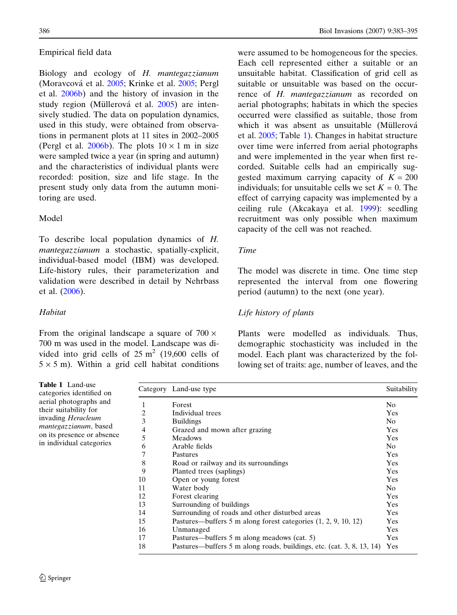## Empirical field data

Biology and ecology of H. mantegazzianum (Moravcová et al. [2005](#page-11-0); Krinke et al. 2005; Pergl et al. [2006b\)](#page-12-0) and the history of invasion in the study region (Müllerová et al. [2005\)](#page-12-0) are intensively studied. The data on population dynamics, used in this study, were obtained from observations in permanent plots at 11 sites in 2002–2005 (Pergl et al. [2006b](#page-12-0)). The plots  $10 \times 1$  m in size were sampled twice a year (in spring and autumn) and the characteristics of individual plants were recorded: position, size and life stage. In the present study only data from the autumn monitoring are used.

# Model

To describe local population dynamics of H. mantegazzianum a stochastic, spatially-explicit, individual-based model (IBM) was developed. Life-history rules, their parameterization and validation were described in detail by Nehrbass et al. ([2006\)](#page-12-0).

# Habitat

Table 1

From the original landscape a square of  $700 \times$ 700 m was used in the model. Landscape was divided into grid cells of  $25 \text{ m}^2$  (19,600 cells of  $5 \times 5$  m). Within a grid cell habitat conditions

386 Biol Invasions (2007) 9:383–395

were assumed to be homogeneous for the species. Each cell represented either a suitable or an unsuitable habitat. Classification of grid cell as suitable or unsuitable was based on the occurrence of H. mantegazzianum as recorded on aerial photographs; habitats in which the species occurred were classified as suitable, those from which it was absent as unsuitable (Müllerová et al. [2005;](#page-12-0) Table 1). Changes in habitat structure over time were inferred from aerial photographs and were implemented in the year when first recorded. Suitable cells had an empirically suggested maximum carrying capacity of  $K = 200$ individuals; for unsuitable cells we set  $K = 0$ . The effect of carrying capacity was implemented by a ceiling rule (Akcakaya et al. [1999\)](#page-11-0): seedling recruitment was only possible when maximum capacity of the cell was not reached.

## Time

The model was discrete in time. One time step represented the interval from one flowering period (autumn) to the next (one year).

# Life history of plants

Plants were modelled as individuals. Thus, demographic stochasticity was included in the model. Each plant was characterized by the following set of traits: age, number of leaves, and the

| <b>Table 1</b> Land-use<br>categories identified on |                | Category Land-use type                                                | Suitability    |
|-----------------------------------------------------|----------------|-----------------------------------------------------------------------|----------------|
| aerial photographs and                              |                | Forest                                                                | N <sub>0</sub> |
| their suitability for                               | $\overline{c}$ | Individual trees                                                      | Yes            |
| invading <i>Heracleum</i>                           | 3              | <b>Buildings</b>                                                      | No.            |
| <i>mantegazzianum</i> , based                       | 4              | Grazed and mown after grazing                                         | Yes            |
| on its presence or absence                          | 5              | <b>Meadows</b>                                                        | Yes            |
| in individual categories                            | 6              | Arable fields                                                         | No.            |
|                                                     | 7              | Pastures                                                              | Yes            |
|                                                     | 8              | Road or railway and its surroundings                                  | Yes            |
|                                                     | 9              | Planted trees (saplings)                                              | Yes            |
|                                                     | 10             | Open or young forest                                                  | Yes            |
|                                                     | 11             | Water body                                                            | No.            |
|                                                     | 12             | Forest clearing                                                       | Yes            |
|                                                     | 13             | Surrounding of buildings                                              | Yes            |
|                                                     | 14             | Surrounding of roads and other disturbed areas                        | Yes            |
|                                                     | 15             | Pastures—buffers 5 m along forest categories $(1, 2, 9, 10, 12)$      | Yes            |
|                                                     | 16             | Unmanaged                                                             | Yes            |
|                                                     | 17             | Pastures—buffers 5 m along meadows (cat. 5)                           | Yes            |
|                                                     | 18             | Pastures—buffers 5 m along roads, buildings, etc. (cat. 3, 8, 13, 14) | Yes            |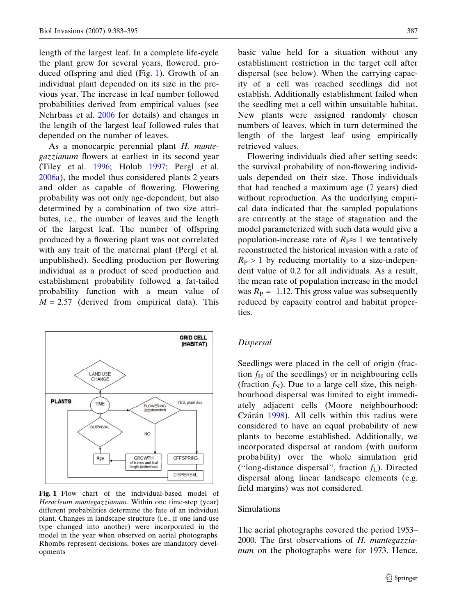length of the largest leaf. In a complete life-cycle the plant grew for several years, flowered, produced offspring and died (Fig. 1). Growth of an individual plant depended on its size in the previous year. The increase in leaf number followed probabilities derived from empirical values (see Nehrbass et al. [2006](#page-12-0) for details) and changes in the length of the largest leaf followed rules that depended on the number of leaves.

As a monocarpic perennial plant H. mantegazzianum flowers at earliest in its second year (Tiley et al. [1996](#page-12-0); Holub [1997](#page-11-0); Pergl et al. [2006a\)](#page-12-0), the model thus considered plants 2 years and older as capable of flowering. Flowering probability was not only age-dependent, but also determined by a combination of two size attributes, i.e., the number of leaves and the length of the largest leaf. The number of offspring produced by a flowering plant was not correlated with any trait of the maternal plant (Pergl et al. unpublished). Seedling production per flowering individual as a product of seed production and establishment probability followed a fat-tailed probability function with a mean value of  $M = 2.57$  (derived from empirical data). This



Fig. 1 Flow chart of the individual-based model of Heracleum mantegazzianum. Within one time-step (year) different probabilities determine the fate of an individual plant. Changes in landscape structure (i.e., if one land-use type changed into another) were incorporated in the model in the year when observed on aerial photographs. Rhombs represent decisions, boxes are mandatory developments

basic value held for a situation without any establishment restriction in the target cell after dispersal (see below). When the carrying capacity of a cell was reached seedlings did not establish. Additionally establishment failed when the seedling met a cell within unsuitable habitat. New plants were assigned randomly chosen numbers of leaves, which in turn determined the length of the largest leaf using empirically retrieved values.

Flowering individuals died after setting seeds; the survival probability of non-flowering individuals depended on their size. Those individuals that had reached a maximum age (7 years) died without reproduction. As the underlying empirical data indicated that the sampled populations are currently at the stage of stagnation and the model parameterized with such data would give a population-increase rate of  $R_P \approx 1$  we tentatively reconstructed the historical invasion with a rate of  $R_P > 1$  by reducing mortality to a size-independent value of 0.2 for all individuals. As a result, the mean rate of population increase in the model was  $R_P = 1.12$ . This gross value was subsequently reduced by capacity control and habitat properties.

#### Dispersal

Seedlings were placed in the cell of origin (fraction  $f<sub>H</sub>$  of the seedlings) or in neighbouring cells (fraction  $f_N$ ). Due to a large cell size, this neighbourhood dispersal was limited to eight immediately adjacent cells (Moore neighbourhood; Czárán [1998\)](#page-11-0). All cells within this radius were considered to have an equal probability of new plants to become established. Additionally, we incorporated dispersal at random (with uniform probability) over the whole simulation grid ("long-distance dispersal", fraction  $f<sub>L</sub>$ ). Directed dispersal along linear landscape elements (e.g. field margins) was not considered.

# Simulations

The aerial photographs covered the period 1953– 2000. The first observations of H. mantegazzianum on the photographs were for 1973. Hence,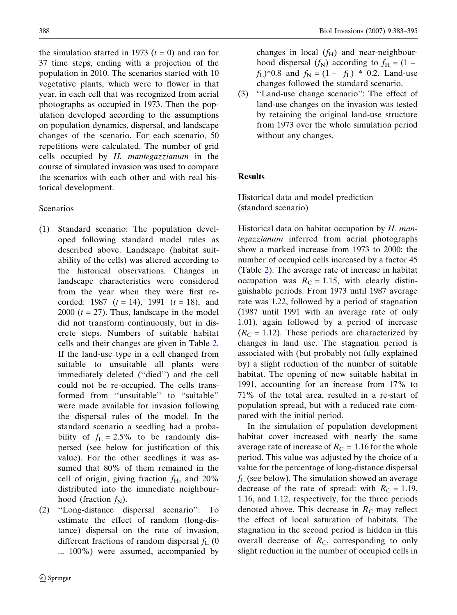the simulation started in 1973 ( $t = 0$ ) and ran for 37 time steps, ending with a projection of the population in 2010. The scenarios started with 10 vegetative plants, which were to flower in that year, in each cell that was recognized from aerial photographs as occupied in 1973. Then the population developed according to the assumptions on population dynamics, dispersal, and landscape changes of the scenario. For each scenario, 50 repetitions were calculated. The number of grid cells occupied by  $H$ . mantegazzianum in the course of simulated invasion was used to compare the scenarios with each other and with real historical development.

# Scenarios

- (1) Standard scenario: The population developed following standard model rules as described above. Landscape (habitat suitability of the cells) was altered according to the historical observations. Changes in landscape characteristics were considered from the year when they were first recorded: 1987  $(t = 14)$ , 1991  $(t = 18)$ , and 2000  $(t = 27)$ . Thus, landscape in the model did not transform continuously, but in discrete steps. Numbers of suitable habitat cells and their changes are given in Table [2.](#page-6-0) If the land-use type in a cell changed from suitable to unsuitable all plants were immediately deleted ("died") and the cell could not be re-occupied. The cells transformed from ''unsuitable'' to ''suitable'' were made available for invasion following the dispersal rules of the model. In the standard scenario a seedling had a probability of  $f_L = 2.5\%$  to be randomly dispersed (see below for justification of this value). For the other seedlings it was assumed that 80% of them remained in the cell of origin, giving fraction  $f_H$ , and 20% distributed into the immediate neighbourhood (fraction  $f_N$ ).
- (2) ''Long-distance dispersal scenario'': To estimate the effect of random (long-distance) dispersal on the rate of invasion, different fractions of random dispersal  $f_L$  (0 ... 100%) were assumed, accompanied by

changes in local  $(f_H)$  and near-neighbourhood dispersal  $(f_N)$  according to  $f_H = (1$  $f_L$ <sup>\*</sup>0.8 and  $f_N = (1 - f_L)$  \* 0.2. Land-use changes followed the standard scenario.

(3) ''Land-use change scenario'': The effect of land-use changes on the invasion was tested by retaining the original land-use structure from 1973 over the whole simulation period without any changes.

# Results

Historical data and model prediction (standard scenario)

Historical data on habitat occupation by H. mantegazzianum inferred from aerial photographs show a marked increase from 1973 to 2000: the number of occupied cells increased by a factor 45 (Table [2](#page-6-0)). The average rate of increase in habitat occupation was  $R_C = 1.15$ , with clearly distinguishable periods. From 1973 until 1987 average rate was 1.22, followed by a period of stagnation (1987 until 1991 with an average rate of only 1.01), again followed by a period of increase  $(R<sub>C</sub> = 1.12)$ . These periods are characterized by changes in land use. The stagnation period is associated with (but probably not fully explained by) a slight reduction of the number of suitable habitat. The opening of new suitable habitat in 1991, accounting for an increase from 17% to 71% of the total area, resulted in a re-start of population spread, but with a reduced rate compared with the initial period.

In the simulation of population development habitat cover increased with nearly the same average rate of increase of  $R<sub>C</sub> = 1.16$  for the whole period. This value was adjusted by the choice of a value for the percentage of long-distance dispersal  $f_L$  (see below). The simulation showed an average decrease of the rate of spread: with  $R_C = 1.19$ , 1.16, and 1.12, respectively, for the three periods denoted above. This decrease in  $R<sub>C</sub>$  may reflect the effect of local saturation of habitats. The stagnation in the second period is hidden in this overall decrease of  $R<sub>C</sub>$ , corresponding to only slight reduction in the number of occupied cells in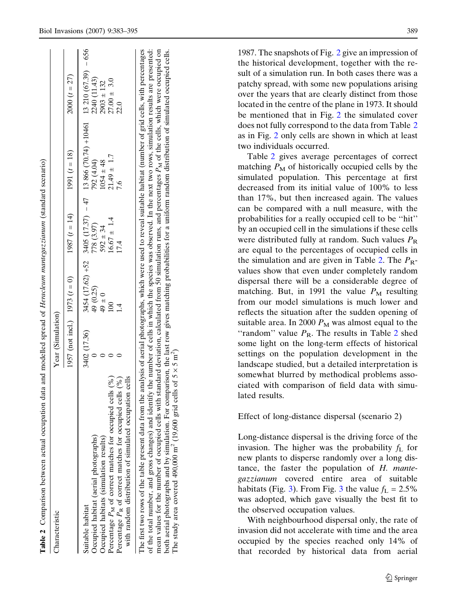| $3454(17.62) +52$ $3405(17.37) -47$ 13866 (70.74) $+10461$ 13210 (67.39) -656<br>$2000(t = 27)$<br>2240 (11.43)<br>$27.00 \pm 3.0$<br>$2903 \pm 132$<br>22.0<br>1991 $(t = 18)$<br>$21.49 \pm 1.7$<br>792 (4.04)<br>$1054 \pm 48$<br>7.6<br>$1987(t = 14)$<br>$16.67 \pm 1.4$<br>778 (3.97)<br>$592 \pm 34$<br>17.4<br>1957 (not incl.) 1973 $(t = 0)$<br>49 (0.25)<br>$0 \pm 6$<br>$\overline{4}$<br>3402 (17.36)<br>Percentage $P_M$ of correct matches for occupied cells (%)<br>with random distribution of simulated occupation cells<br>Percentage $P_R$ of correct matches for occupied cells (%)<br>Occupied habitat (aerial photographs)<br>Occupied habitats (simulation results)<br>Suitable habitat | Characteristic                                                                                                                                                                                                                                                                                                                                       | Year (Simulation) |  |  |
|-----------------------------------------------------------------------------------------------------------------------------------------------------------------------------------------------------------------------------------------------------------------------------------------------------------------------------------------------------------------------------------------------------------------------------------------------------------------------------------------------------------------------------------------------------------------------------------------------------------------------------------------------------------------------------------------------------------------|------------------------------------------------------------------------------------------------------------------------------------------------------------------------------------------------------------------------------------------------------------------------------------------------------------------------------------------------------|-------------------|--|--|
|                                                                                                                                                                                                                                                                                                                                                                                                                                                                                                                                                                                                                                                                                                                 |                                                                                                                                                                                                                                                                                                                                                      |                   |  |  |
|                                                                                                                                                                                                                                                                                                                                                                                                                                                                                                                                                                                                                                                                                                                 |                                                                                                                                                                                                                                                                                                                                                      |                   |  |  |
|                                                                                                                                                                                                                                                                                                                                                                                                                                                                                                                                                                                                                                                                                                                 |                                                                                                                                                                                                                                                                                                                                                      |                   |  |  |
|                                                                                                                                                                                                                                                                                                                                                                                                                                                                                                                                                                                                                                                                                                                 |                                                                                                                                                                                                                                                                                                                                                      |                   |  |  |
|                                                                                                                                                                                                                                                                                                                                                                                                                                                                                                                                                                                                                                                                                                                 |                                                                                                                                                                                                                                                                                                                                                      |                   |  |  |
|                                                                                                                                                                                                                                                                                                                                                                                                                                                                                                                                                                                                                                                                                                                 |                                                                                                                                                                                                                                                                                                                                                      |                   |  |  |
|                                                                                                                                                                                                                                                                                                                                                                                                                                                                                                                                                                                                                                                                                                                 | mean values for the number of occupied cells with standard deviation, calculated from 50 simulation runs, and percentages P <sub>M</sub> of the cells, which were occupied on<br>of the total number, and gross changes) and identify the number of cells in which the species was observed. In the next two rows, simulation results are presented: |                   |  |  |

both aerial photographs and by simulation. For comparison, the last row gives matching probabilities for a uniform random distribution of simulated occupied cells.

both aerial photographs and by simulation. For comparison, the last row gives matching probabilities for a uniform random distribution of simulated occupied cells.

<u>ົ</u>

The study area covered 490,000 m<sup>2</sup> (19,600 grid cells of  $5 \times 5$  m<sup>2</sup>

<span id="page-6-0"></span>Biol Invasions (2007) 9:383–395 389

1987. The snapshots of Fig. [2](#page-7-0) give an impression of the historical development, together with the result of a simulation run. In both cases there was a patchy spread, with some new populations arising over the years that are clearly distinct from those located in the centre of the plane in 1973. It should be mentioned that in Fig. [2](#page-7-0) the simulated cover does not fully correspond to the data from Table 2 as in Fig. [2](#page-7-0) only cells are shown in which at least two individuals occurred.

Table 2 gives average percentages of correct matching  $P_M$  of historically occupied cells by the simulated population. This percentage at first decreased from its initial value of 100% to less than 17%, but then increased again. The values can be compared with a null measure, with the probabilities for a really occupied cell to be ''hit'' by an occupied cell in the simulations if these cells were distributed fully at random. Such values  $P_R$ are equal to the percentages of occupied cells in the simulation and are given in Table 2. The  $P_{\rm R}$ values show that even under completely random dispersal there will be a considerable degree of matching. But, in 1991 the value  $P_M$  resulting from our model simulations is much lower and reflects the situation after the sudden opening of suitable area. In 2000  $P_M$  was almost equal to the "random" value  $P_R$ . The results in Table 2 shed some light on the long-term effects of historical settings on the population development in the landscape studied, but a detailed interpretation is somewhat blurred by methodical problems associated with comparison of field data with simulated results.

Effect of long-distance dispersal (scenario 2)

Long-distance dispersal is the driving force of the invasion. The higher was the probability  $f<sub>L</sub>$  for new plants to disperse randomly over a long distance, the faster the population of H. mantegazzianum covered entire area of suitable habitats (Fig. [3\)](#page-8-0). From Fig. [3](#page-8-0) the value  $f_L = 2.5\%$ was adopted, which gave visually the best fit to the observed occupation values.

With neighbourhood dispersal only, the rate of invasion did not accelerate with time and the area occupied by the species reached only 14% of that recorded by historical data from aerial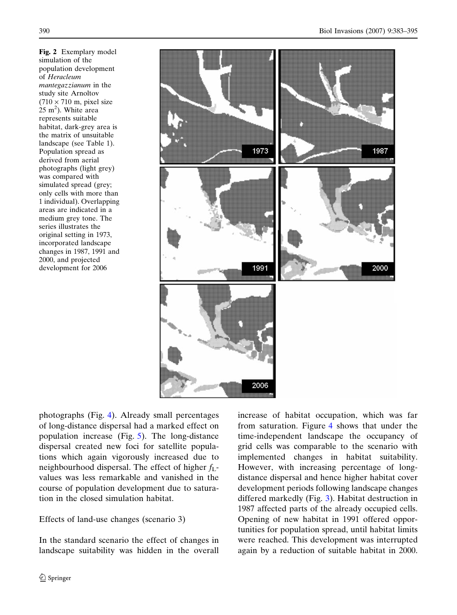<span id="page-7-0"></span>Fig. 2 Exemplary model simulation of the population development of Heracleum mantegazzianum in the study site Arnoltov  $(710 \times 710 \text{ m}, \text{pixel size})$  $(25 \text{ m}^2)$ . White area represents suitable habitat, dark-grey area is the matrix of unsuitable landscape (see Table 1). Population spread as derived from aerial photographs (light grey) was compared with simulated spread (grey; only cells with more than 1 individual). Overlapping areas are indicated in a medium grey tone. The series illustrates the original setting in 1973, incorporated landscape changes in 1987, 1991 and 2000, and projected development for 2006



photographs (Fig. [4\)](#page-9-0). Already small percentages of long-distance dispersal had a marked effect on population increase (Fig. [5](#page-9-0)). The long-distance dispersal created new foci for satellite populations which again vigorously increased due to neighbourhood dispersal. The effect of higher  $f_{\text{L}}$ values was less remarkable and vanished in the course of population development due to saturation in the closed simulation habitat.

# Effects of land-use changes (scenario 3)

In the standard scenario the effect of changes in landscape suitability was hidden in the overall increase of habitat occupation, which was far from saturation. Figure [4](#page-9-0) shows that under the time-independent landscape the occupancy of grid cells was comparable to the scenario with implemented changes in habitat suitability. However, with increasing percentage of longdistance dispersal and hence higher habitat cover development periods following landscape changes differed markedly (Fig. [3\)](#page-8-0). Habitat destruction in 1987 affected parts of the already occupied cells. Opening of new habitat in 1991 offered opportunities for population spread, until habitat limits were reached. This development was interrupted again by a reduction of suitable habitat in 2000.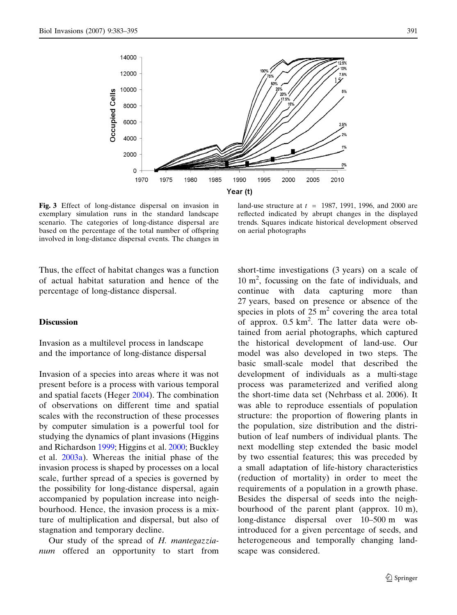<span id="page-8-0"></span>

Fig. 3 Effect of long-distance dispersal on invasion in exemplary simulation runs in the standard landscape scenario. The categories of long-distance dispersal are based on the percentage of the total number of offspring involved in long-distance dispersal events. The changes in

land-use structure at  $t = 1987, 1991, 1996,$  and 2000 are reflected indicated by abrupt changes in the displayed trends. Squares indicate historical development observed on aerial photographs

Thus, the effect of habitat changes was a function of actual habitat saturation and hence of the percentage of long-distance dispersal.

#### **Discussion**

Invasion as a multilevel process in landscape and the importance of long-distance dispersal

Invasion of a species into areas where it was not present before is a process with various temporal and spatial facets (Heger [2004\)](#page-11-0). The combination of observations on different time and spatial scales with the reconstruction of these processes by computer simulation is a powerful tool for studying the dynamics of plant invasions (Higgins and Richardson [1999](#page-11-0); Higgins et al. [2000;](#page-11-0) Buckley et al. [2003a](#page-11-0)). Whereas the initial phase of the invasion process is shaped by processes on a local scale, further spread of a species is governed by the possibility for long-distance dispersal, again accompanied by population increase into neighbourhood. Hence, the invasion process is a mixture of multiplication and dispersal, but also of stagnation and temporary decline.

Our study of the spread of H. mantegazzianum offered an opportunity to start from short-time investigations (3 years) on a scale of 10 m2 , focussing on the fate of individuals, and continue with data capturing more than 27 years, based on presence or absence of the species in plots of  $25 \text{ m}^2$  covering the area total of approx. 0.5 km<sup>2</sup>. The latter data were obtained from aerial photographs, which captured the historical development of land-use. Our model was also developed in two steps. The basic small-scale model that described the development of individuals as a multi-stage process was parameterized and verified along the short-time data set (Nehrbass et al. 2006). It was able to reproduce essentials of population structure: the proportion of flowering plants in the population, size distribution and the distribution of leaf numbers of individual plants. The next modelling step extended the basic model by two essential features; this was preceded by a small adaptation of life-history characteristics (reduction of mortality) in order to meet the requirements of a population in a growth phase. Besides the dispersal of seeds into the neighbourhood of the parent plant (approx. 10 m), long-distance dispersal over 10–500 m was introduced for a given percentage of seeds, and heterogeneous and temporally changing landscape was considered.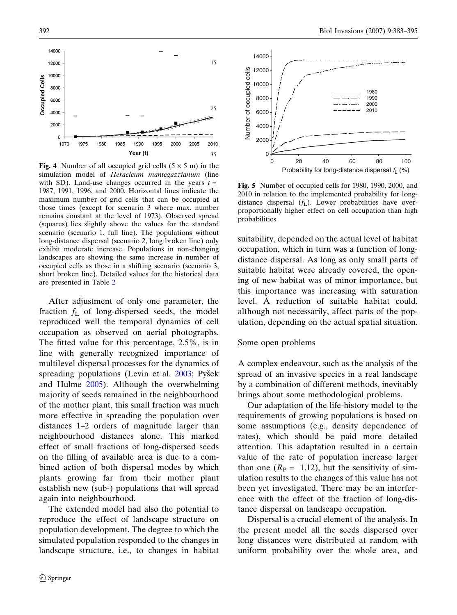<span id="page-9-0"></span>

Fig. 4 Number of all occupied grid cells  $(5 \times 5 \text{ m})$  in the simulation model of Heracleum mantegazzianum (line with SD). Land-use changes occurred in the years  $t =$ 1987, 1991, 1996, and 2000. Horizontal lines indicate the maximum number of grid cells that can be occupied at those times (except for scenario 3 where max. number remains constant at the level of 1973). Observed spread (squares) lies slightly above the values for the standard scenario (scenario 1, full line). The populations without long-distance dispersal (scenario 2, long broken line) only exhibit moderate increase. Populations in non-changing landscapes are showing the same increase in number of occupied cells as those in a shifting scenario (scenario 3, short broken line). Detailed values for the historical data are presented in Table [2](#page-6-0)

After adjustment of only one parameter, the fraction  $f<sub>L</sub>$  of long-dispersed seeds, the model reproduced well the temporal dynamics of cell occupation as observed on aerial photographs. The fitted value for this percentage, 2.5%, is in line with generally recognized importance of multilevel dispersal processes for the dynamics of spreading populations (Levin et al.  $2003$ ; Pyšek and Hulme [2005](#page-12-0)). Although the overwhelming majority of seeds remained in the neighbourhood of the mother plant, this small fraction was much more effective in spreading the population over distances 1–2 orders of magnitude larger than neighbourhood distances alone. This marked effect of small fractions of long-dispersed seeds on the filling of available area is due to a combined action of both dispersal modes by which plants growing far from their mother plant establish new (sub-) populations that will spread again into neighbourhood.

The extended model had also the potential to reproduce the effect of landscape structure on population development. The degree to which the simulated population responded to the changes in landscape structure, i.e., to changes in habitat



Fig. 5 Number of occupied cells for 1980, 1990, 2000, and 2010 in relation to the implemented probability for longdistance dispersal  $(f_L)$ . Lower probabilities have overproportionally higher effect on cell occupation than high probabilities

suitability, depended on the actual level of habitat occupation, which in turn was a function of longdistance dispersal. As long as only small parts of suitable habitat were already covered, the opening of new habitat was of minor importance, but this importance was increasing with saturation level. A reduction of suitable habitat could, although not necessarily, affect parts of the population, depending on the actual spatial situation.

#### Some open problems

A complex endeavour, such as the analysis of the spread of an invasive species in a real landscape by a combination of different methods, inevitably brings about some methodological problems.

Our adaptation of the life-history model to the requirements of growing populations is based on some assumptions (e.g., density dependence of rates), which should be paid more detailed attention. This adaptation resulted in a certain value of the rate of population increase larger than one  $(R_{\rm P} = 1.12)$ , but the sensitivity of simulation results to the changes of this value has not been yet investigated. There may be an interference with the effect of the fraction of long-distance dispersal on landscape occupation.

Dispersal is a crucial element of the analysis. In the present model all the seeds dispersed over long distances were distributed at random with uniform probability over the whole area, and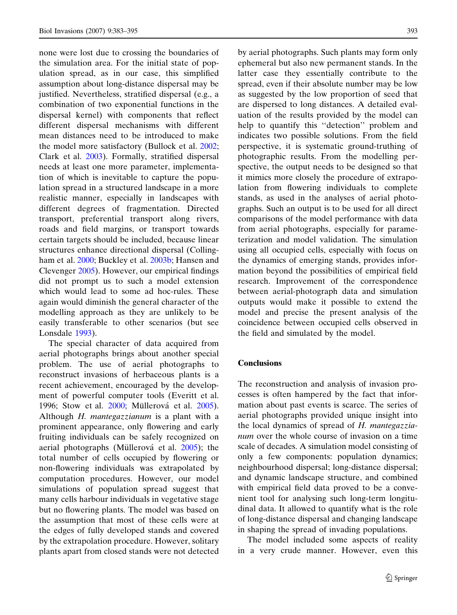none were lost due to crossing the boundaries of the simulation area. For the initial state of population spread, as in our case, this simplified assumption about long-distance dispersal may be justified. Nevertheless, stratified dispersal (e.g., a combination of two exponential functions in the dispersal kernel) with components that reflect different dispersal mechanisms with different mean distances need to be introduced to make the model more satisfactory (Bullock et al. [2002;](#page-11-0) Clark et al. [2003\)](#page-11-0). Formally, stratified dispersal needs at least one more parameter, implementation of which is inevitable to capture the population spread in a structured landscape in a more realistic manner, especially in landscapes with different degrees of fragmentation. Directed transport, preferential transport along rivers, roads and field margins, or transport towards certain targets should be included, because linear structures enhance directional dispersal (Collingham et al. [2000;](#page-11-0) Buckley et al. [2003b](#page-11-0); Hansen and Clevenger [2005\)](#page-11-0). However, our empirical findings did not prompt us to such a model extension which would lead to some ad hoc-rules. These again would diminish the general character of the modelling approach as they are unlikely to be easily transferable to other scenarios (but see Lonsdale [1993\)](#page-12-0).

The special character of data acquired from aerial photographs brings about another special problem. The use of aerial photographs to reconstruct invasions of herbaceous plants is a recent achievement, encouraged by the development of powerful computer tools (Everitt et al. 1996; Stow et al. [2000;](#page-12-0) Müllerová et al. [2005\)](#page-12-0). Although H. mantegazzianum is a plant with a prominent appearance, only flowering and early fruiting individuals can be safely recognized on aerial photographs (Müllerová et al. [2005\)](#page-12-0); the total number of cells occupied by flowering or non-flowering individuals was extrapolated by computation procedures. However, our model simulations of population spread suggest that many cells harbour individuals in vegetative stage but no flowering plants. The model was based on the assumption that most of these cells were at the edges of fully developed stands and covered by the extrapolation procedure. However, solitary plants apart from closed stands were not detected by aerial photographs. Such plants may form only ephemeral but also new permanent stands. In the latter case they essentially contribute to the spread, even if their absolute number may be low as suggested by the low proportion of seed that are dispersed to long distances. A detailed evaluation of the results provided by the model can help to quantify this ''detection'' problem and indicates two possible solutions. From the field perspective, it is systematic ground-truthing of photographic results. From the modelling perspective, the output needs to be designed so that it mimics more closely the procedure of extrapolation from flowering individuals to complete stands, as used in the analyses of aerial photographs. Such an output is to be used for all direct comparisons of the model performance with data from aerial photographs, especially for parameterization and model validation. The simulation using all occupied cells, especially with focus on the dynamics of emerging stands, provides information beyond the possibilities of empirical field research. Improvement of the correspondence between aerial-photograph data and simulation outputs would make it possible to extend the model and precise the present analysis of the coincidence between occupied cells observed in the field and simulated by the model.

## **Conclusions**

The reconstruction and analysis of invasion processes is often hampered by the fact that information about past events is scarce. The series of aerial photographs provided unique insight into the local dynamics of spread of H. mantegazzianum over the whole course of invasion on a time scale of decades. A simulation model consisting of only a few components: population dynamics; neighbourhood dispersal; long-distance dispersal; and dynamic landscape structure, and combined with empirical field data proved to be a convenient tool for analysing such long-term longitudinal data. It allowed to quantify what is the role of long-distance dispersal and changing landscape in shaping the spread of invading populations.

The model included some aspects of reality in a very crude manner. However, even this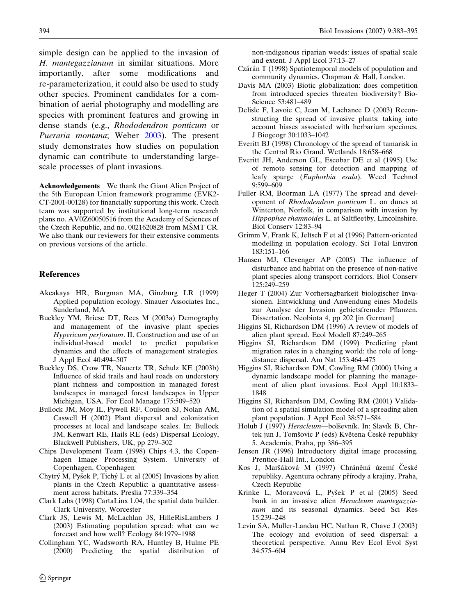simple design can be applied to the invasion of H. mantegazzianum in similar situations. More importantly, after some modifications and re-parameterization, it could also be used to study other species. Prominent candidates for a combination of aerial photography and modelling are species with prominent features and growing in dense stands (e.g., Rhododendron ponticum or Pueraria montana; Weber [2003](#page-12-0)). The present study demonstrates how studies on population dynamic can contribute to understanding largescale processes of plant invasions.

Acknowledgements We thank the Giant Alien Project of the 5th European Union framework programme (EVK2- CT-2001-00128) for financially supporting this work. Czech team was supported by institutional long-term research plans no. AV0Z60050516 from the Academy of Sciences of the Czech Republic, and no.  $0021620828$  from MSMT CR. We also thank our reviewers for their extensive comments on previous versions of the article.

#### References

- Akcakaya HR, Burgman MA, Ginzburg LR (1999) Applied population ecology. Sinauer Associates Inc., Sunderland, MA
- Buckley YM, Briese DT, Rees M (2003a) Demography and management of the invasive plant species Hypericum perforatum. II. Construction and use of an individual-based model to predict population dynamics and the effects of management strategies. J Appl Ecol 40:494–507
- Buckley DS, Crow TR, Nauertz TR, Schulz KE (2003b) Influence of skid trails and haul roads on understory plant richness and composition in managed forest landscapes in managed forest landscapes in Upper Michigan, USA. For Ecol Manage 175:509–520
- Bullock JM, Moy IL, Pywell RF, Coulson SJ, Nolan AM, Caswell H (2002) Plant dispersal and colonization processes at local and landscape scales. In: Bullock JM, Kenwart RE, Hails RE (eds) Dispersal Ecology, Blackwell Publishers, UK, pp 279–302
- Chips Development Team (1998) Chips 4.3, the Copenhagen Image Processing System. University of Copenhagen, Copenhagen
- Chytrý M, Pyšek P, Tichý L et al (2005) Invasions by alien plants in the Czech Republic: a quantitative assessment across habitats. Preslia 77:339–354
- Clark Labs (1998) CartaLinx 1.04, the spatial data builder. Clark University, Worcester
- Clark JS, Lewis M, McLachlan JS, HilleRisLambers J (2003) Estimating population spread: what can we forecast and how well? Ecology 84:1979–1988
- Collingham YC, Wadsworth RA, Huntley B, Hulme PE (2000) Predicting the spatial distribution of

<span id="page-11-0"></span>394 Biol Invasions (2007) 9:383–395

non-indigenous riparian weeds: issues of spatial scale and extent. J Appl Ecol 37:13–27

- Czárán T (1998) Spatiotemporal models of population and community dynamics. Chapman & Hall, London.
- Davis MA (2003) Biotic globalization: does competition from introduced species threaten biodiversity? Bio-Science 53:481–489
- Delisle F, Lavoie C, Jean M, Lachance D (2003) Reconstructing the spread of invasive plants: taking into account biases associated with herbarium specimes. J Biogeogr 30:1033–1042
- Everitt BJ (1998) Chronology of the spread of tamarisk in the Central Rio Grand. Wetlands 18:658–668
- Everitt JH, Anderson GL, Escobar DE et al (1995) Use of remote sensing for detection and mapping of leafy spurge (Euphorbia esula). Weed Technol 9:599–609
- Fuller RM, Boorman LA (1977) The spread and development of Rhododendron ponticum L. on dunes at Winterton, Norfolk, in comparison with invasion by Hippophae rhamnoides L. at Saltfleetby, Lincolnshire. Biol Conserv 12:83–94
- Grimm V, Frank K, Jeltsch F et al (1996) Pattern-oriented modelling in population ecology. Sci Total Environ 183:151–166
- Hansen MJ, Clevenger AP (2005) The influence of disturbance and habitat on the presence of non-native plant species along transport corridors. Biol Conserv 125:249–259
- Heger T (2004) Zur Vorhersagbarkeit biologischer Invasionen. Entwicklung und Anwendung eines Modells zur Analyse der Invasion gebietsfremder Pflanzen. Dissertation. Neobiota 4, pp 202 [in German]
- Higgins SI, Richardson DM (1996) A review of models of alien plant spread. Ecol Modell 87:249–265
- Higgins SI, Richardson DM (1999) Predicting plant migration rates in a changing world: the role of longdistance dispersal. Am Nat 153:464–475
- Higgins SI, Richardson DM, Cowling RM (2000) Using a dynamic landscape model for planning the management of alien plant invasions. Ecol Appl 10:1833– 1848
- Higgins SI, Richardson DM, Cowling RM (2001) Validation of a spatial simulation model of a spreading alien plant population. J Appl Ecol 38:571–584
- Holub J (1997) Heracleum-bolševník. In: Slavík B, Chrtek jun J, Tomšovic P (eds) Květena České republiky 5. Academia, Praha, pp 386–395
- Jensen JR (1996) Introductory digital image processing. Prentice-Hall Int., London
- Kos J, Maršáková M (1997) Chráněná území České republiky. Agentura ochrany přírody a krajiny, Praha, Czech Republic
- Krinke L, Moravcová L, Pyšek P et al (2005) Seed bank in an invasive alien Heracleum mantegazzianum and its seasonal dynamics. Seed Sci Res 15:239–248
- Levin SA, Muller-Landau HC, Nathan R, Chave J (2003) The ecology and evolution of seed dispersal: a theoretical perspective. Annu Rev Ecol Evol Syst 34:575–604